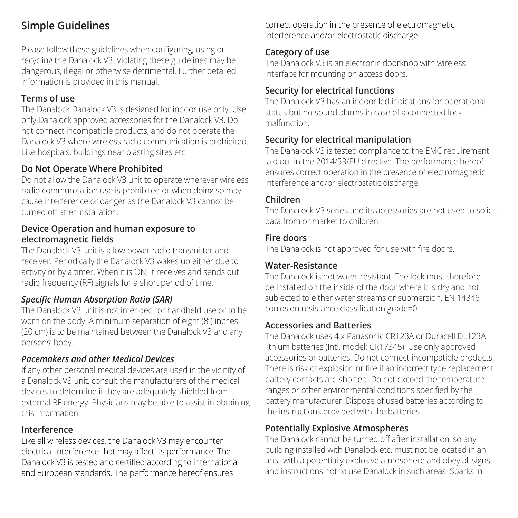### **Simple Guidelines**

Please follow these guidelines when configuring, using or recycling the Danalock V3. Violating these guidelines may be dangerous, illegal or otherwise detrimental. Further detailed information is provided in this manual.

### **Terms of use**

The Danalock Danalock V3 is designed for indoor use only. Use only Danalock approved accessories for the Danalock V3. Do not connect incompatible products, and do not operate the Danalock V3 where wireless radio communication is prohibited. Like hospitals, buildings near blasting sites etc.

### **Do Not Operate Where Prohibited**

Do not allow the Danalock V3 unit to operate wherever wireless radio communication use is prohibited or when doing so may cause interference or danger as the Danalock V3 cannot be turned off after installation.

### **Device Operation and human exposure to electromagnetic fields**

The Danalock V3 unit is a low power radio transmitter and receiver. Periodically the Danalock V3 wakes up either due to activity or by a timer. When it is ON, it receives and sends out radio frequency (RF) signals for a short period of time.

### *Specific Human Absorption Ratio (SAR)*

The Danalock V3 unit is not intended for handheld use or to be worn on the body. A minimum separation of eight (8") inches (20 cm) is to be maintained between the Danalock V3 and any persons' body.

### *Pacemakers and other Medical Devices*

If any other personal medical devices are used in the vicinity of a Danalock V3 unit, consult the manufacturers of the medical devices to determine if they are adequately shielded from external RF energy. Physicians may be able to assist in obtaining this information.

### **Interference**

Like all wireless devices, the Danalock V3 may encounter electrical interference that may affect its performance. The Danalock V3 is tested and certified according to international and European standards. The performance hereof ensures

correct operation in the presence of electromagnetic interference and/or electrostatic discharge.

### **Category of use**

The Danalock V3 is an electronic doorknob with wireless interface for mounting on access doors.

### **Security for electrical functions**

The Danalock V3 has an indoor led indications for operational status but no sound alarms in case of a connected lock malfunction.

### **Security for electrical manipulation**

The Danalock V3 is tested compliance to the EMC requirement laid out in the 2014/53/EU directive. The performance hereof ensures correct operation in the presence of electromagnetic interference and/or electrostatic discharge.

### **Children**

The Danalock V3 series and its accessories are not used to solicit data from or market to children

### **Fire doors**

The Danalock is not approved for use with fire doors.

### **Water-Resistance**

The Danalock is not water-resistant. The lock must therefore be installed on the inside of the door where it is dry and not subjected to either water streams or submersion. EN 14846 corrosion resistance classification grade=0.

### **Accessories and Batteries**

The Danalock uses 4 x Panasonic CR123A or Duracell DL123A lithium batteries (Intl. model: CR17345). Use only approved accessories or batteries. Do not connect incompatible products. There is risk of explosion or fire if an incorrect type replacement battery contacts are shorted. Do not exceed the temperature ranges or other environmental conditions specified by the battery manufacturer. Dispose of used batteries according to the instructions provided with the batteries.

### **Potentially Explosive Atmospheres**

The Danalock cannot be turned off after installation, so any building installed with Danalock etc. must not be located in an area with a potentially explosive atmosphere and obey all signs and instructions not to use Danalock in such areas. Sparks in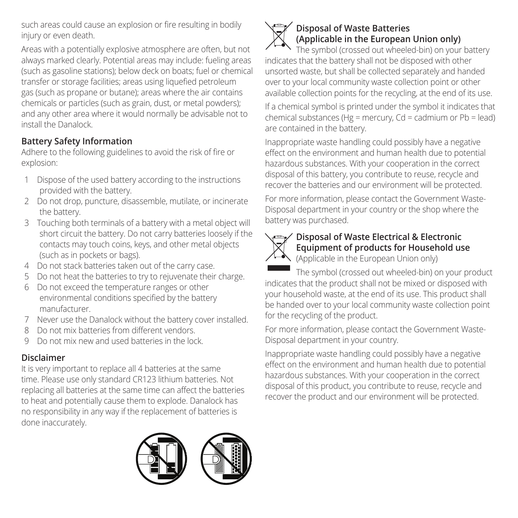such areas could cause an explosion or fire resulting in bodily injury or even death.

Areas with a potentially explosive atmosphere are often, but not always marked clearly. Potential areas may include: fueling areas (such as gasoline stations); below deck on boats; fuel or chemical transfer or storage facilities; areas using liquefied petroleum gas (such as propane or butane); areas where the air contains chemicals or particles (such as grain, dust, or metal powders); and any other area where it would normally be advisable not to install the Danalock.

### **Battery Safety Information**

Adhere to the following guidelines to avoid the risk of fire or explosion:

- 1 Dispose of the used battery according to the instructions provided with the battery.
- 2 Do not drop, puncture, disassemble, mutilate, or incinerate the battery.
- 3 Touching both terminals of a battery with a metal object will short circuit the battery. Do not carry batteries loosely if the contacts may touch coins, keys, and other metal objects (such as in pockets or bags).
- 4 Do not stack batteries taken out of the carry case.
- 5 Do not heat the batteries to try to rejuvenate their charge.
- 6 Do not exceed the temperature ranges or other environmental conditions specified by the battery manufacturer.
- 7 Never use the Danalock without the battery cover installed.
- 8 Do not mix batteries from different vendors.
- 9 Do not mix new and used batteries in the lock.

### **Disclaimer**

It is very important to replace all 4 batteries at the same time. Please use only standard CR123 lithium batteries. Not replacing all batteries at the same time can affect the batteries to heat and potentially cause them to explode. Danalock has no responsibility in any way if the replacement of batteries is done inaccurately.





### **Disposal of Waste Batteries (Applicable in the European Union only)**

The symbol (crossed out wheeled-bin) on your battery indicates that the battery shall not be disposed with other unsorted waste, but shall be collected separately and handed over to your local community waste collection point or other available collection points for the recycling, at the end of its use. If a chemical symbol is printed under the symbol it indicates that chemical substances (Hg = mercury, Cd = cadmium or Pb = lead) are contained in the battery.

Inappropriate waste handling could possibly have a negative effect on the environment and human health due to potential hazardous substances. With your cooperation in the correct disposal of this battery, you contribute to reuse, recycle and recover the batteries and our environment will be protected.

For more information, please contact the Government Waste-Disposal department in your country or the shop where the battery was purchased.



# **Disposal of Waste Electrical & Electronic**<br> **Disposal of Waste Electrical & Electronic Equipment of products for Household use**

(Applicable in the European Union only)

The symbol (crossed out wheeled-bin) on your product indicates that the product shall not be mixed or disposed with your household waste, at the end of its use. This product shall be handed over to your local community waste collection point for the recycling of the product.

For more information, please contact the Government Waste-Disposal department in your country.

Inappropriate waste handling could possibly have a negative effect on the environment and human health due to potential hazardous substances. With your cooperation in the correct disposal of this product, you contribute to reuse, recycle and recover the product and our environment will be protected.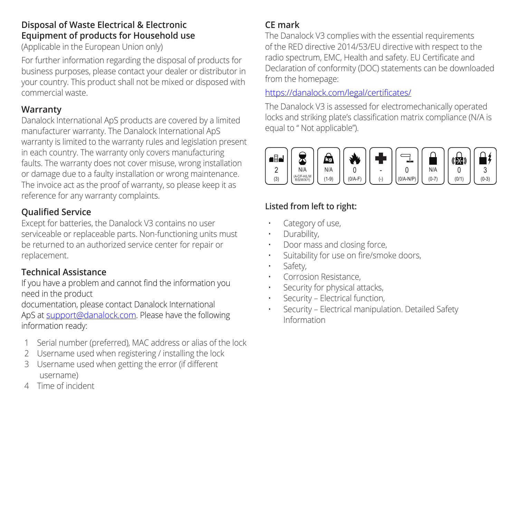### **Disposal of Waste Electrical & Electronic Equipment of products for Household use**

(Applicable in the European Union only)

For further information regarding the disposal of products for business purposes, please contact your dealer or distributor in your country. This product shall not be mixed or disposed with commercial waste.

### **Warranty**

Danalock International ApS products are covered by a limited manufacturer warranty. The Danalock International ApS warranty is limited to the warranty rules and legislation present in each country. The warranty only covers manufacturing faults. The warranty does not cover misuse, wrong installation or damage due to a faulty installation or wrong maintenance. The invoice act as the proof of warranty, so please keep it as reference for any warranty complaints.

### **Qualified Service**

Except for batteries, the Danalock V3 contains no user serviceable or replaceable parts. Non-functioning units must be returned to an authorized service center for repair or replacement.

### **Technical Assistance**

If you have a problem and cannot find the information you need in the product

documentation, please contact Danalock International ApS at support@danalock.com. Please have the following information ready:

- 1 Serial number (preferred), MAC address or alias of the lock
- 2 Username used when registering / installing the lock
- 3 Username used when getting the error (if different username)
- 4 Time of incident

### **CE mark**

The Danalock V3 complies with the essential requirements of the RED directive 2014/53/EU directive with respect to the radio spectrum, EMC, Health and safety. EU Certificate and Declaration of conformity (DOC) statements can be downloaded from the homepage:

### https://danalock.com/legal/certificates/

The Danalock V3 is assessed for electromechanically operated locks and striking plate's classification matrix compliance (N/A is equal to " Not applicable").



### **Listed from left to right:**

- Category of use.
- Durability,
- Door mass and closing force,
- Suitability for use on fire/smoke doors,
- Safety,
- Corrosion Resistance,
- Security for physical attacks.
- Security Electrical function,
- Security Electrical manipulation. Detailed Safety Information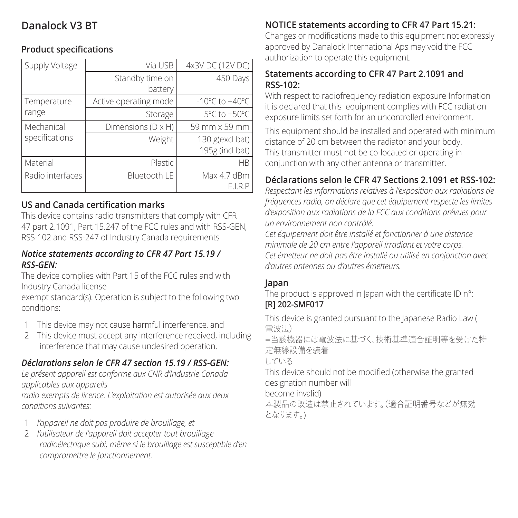### **Danalock V3 BT**

### **Product specifications**

| Supply Voltage   | Via USB                    | 4x3V DC (12V DC)                   |
|------------------|----------------------------|------------------------------------|
|                  | Standby time on<br>battery | 450 Days                           |
| Temperature      | Active operating mode      | $-10^{\circ}$ C to $+40^{\circ}$ C |
| range            | Storage                    | 5°C to +50°C                       |
| Mechanical       | Dimensions (D x H)         | 59 mm x 59 mm                      |
| specifications   | Weight                     | 130 g(excl bat)<br>195g (incl bat) |
| Material         | Plastic                    | <b>HR</b>                          |
| Radio interfaces | Bluetooth LE               | Max 4.7 dBm<br>E.I.R.P             |

### **US and Canada certification marks**

This device contains radio transmitters that comply with CFR 47 part 2.1091, Part 15.247 of the FCC rules and with RSS-GEN, RSS-102 and RSS-247 of Industry Canada requirements

### *Notice statements according to CFR 47 Part 15.19 / RSS-GEN:*

The device complies with Part 15 of the FCC rules and with Industry Canada license

exempt standard(s). Operation is subject to the following two conditions:

- 1 This device may not cause harmful interference, and
- 2 This device must accept any interference received, including interference that may cause undesired operation.

### *Déclarations selon le CFR 47 section 15.19 / RSS-GEN:*

*Le présent appareil est conforme aux CNR d'Industrie Canada applicables aux appareils*

*radio exempts de licence. L'exploitation est autorisée aux deux conditions suivantes:*

- 1 *l'appareil ne doit pas produire de brouillage, et*
- 2 *l'utilisateur de l'appareil doit accepter tout brouillage radioélectrique subi, même si le brouillage est susceptible d'en compromettre le fonctionnement.*

### **NOTICE statements according to CFR 47 Part 15.21:**

Changes or modifications made to this equipment not expressly approved by Danalock International Aps may void the ECC. authorization to operate this equipment.

### **Statements according to CFR 47 Part 2.1091 and RSS-102:**

With respect to radiofrequency radiation exposure Information it is declared that this equipment complies with FCC radiation exposure limits set forth for an uncontrolled environment.

This equipment should be installed and operated with minimum distance of 20 cm between the radiator and your body. This transmitter must not be co-located or operating in conjunction with any other antenna or transmitter.

### **Déclarations selon le CFR 47 Sections 2.1091 et RSS-102:**

*Respectant les informations relatives à l'exposition aux radiations de fréquences radio, on déclare que cet équipement respecte les limites d'exposition aux radiations de la FCC aux conditions prévues pour un environnement non contrôlé.*

*Cet équipement doit être installé et fonctionner à une distance minimale de 20 cm entre l'appareil irradiant et votre corps. Cet émetteur ne doit pas être installé ou utilisé en conjonction avec d'autres antennes ou d'autres émetteurs.*

#### **Japan**

The product is approved in Japan with the certificate ID n°:

#### **[R] 202-SMF017**

This device is granted pursuant to the Japanese Radio Law ( 電波法) =当該機器には電波法に基づく、技術基準適合証明等を受けた特 定無線設備を装着 している This device should not be modified (otherwise the granted designation number will become invalid) 本製品の改造は禁止されています。(適合証明番号などが無効

となります。)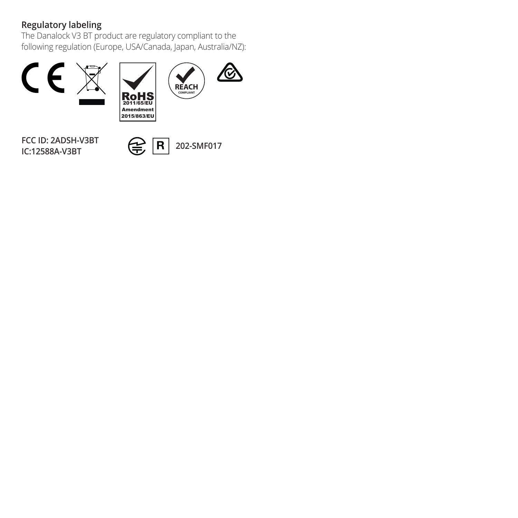**Regulatory labeling** The Danalock V3 BT product are regulatory compliant to the following regulation (Europe, USA/Canada, Japan, Australia/NZ):



**FCC ID: 2ADSH-V3BT**

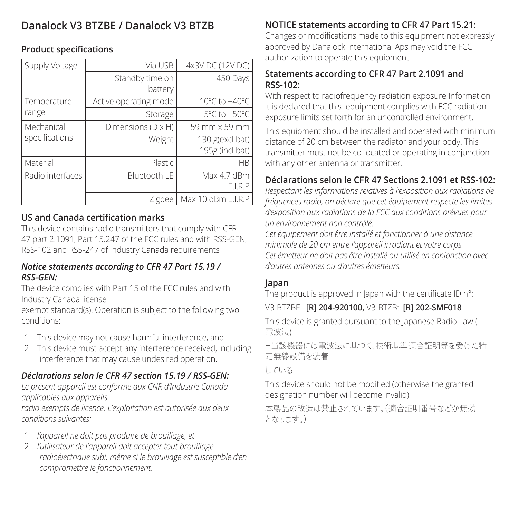## **Danalock V3 BTZBE / Danalock V3 BTZB**

### **Product specifications**

| Supply Voltage   | Via USB                    | 4x3V DC (12V DC)                   |
|------------------|----------------------------|------------------------------------|
|                  | Standby time on<br>battery | 450 Days                           |
| Temperature      | Active operating mode      | $-10^{\circ}$ C to $+40^{\circ}$ C |
| range            | Storage                    | 5°C to +50°C                       |
| Mechanical       | Dimensions (D x H)         | 59 mm x 59 mm                      |
| specifications   | Weight                     | 130 g(excl bat)<br>195g (incl bat) |
| Material         | Plastic                    | <b>HR</b>                          |
| Radio interfaces | Bluetooth LE               | Max 4.7 dBm<br>E.I.R.P             |
|                  | Zigbee                     | Max 10 dBm E.I.R.P                 |

### **US and Canada certification marks**

This device contains radio transmitters that comply with CFR 47 part 2.1091, Part 15.247 of the FCC rules and with RSS-GEN, RSS-102 and RSS-247 of Industry Canada requirements

### *Notice statements according to CFR 47 Part 15.19 / RSS-GEN:*

The device complies with Part 15 of the FCC rules and with Industry Canada license

exempt standard(s). Operation is subject to the following two conditions:

- 1 This device may not cause harmful interference, and
- 2 This device must accept any interference received, including interference that may cause undesired operation.

### *Déclarations selon le CFR 47 section 15.19 / RSS-GEN:*

*Le présent appareil est conforme aux CNR d'Industrie Canada applicables aux appareils*

*radio exempts de licence. L'exploitation est autorisée aux deux conditions suivantes:*

- 1 *l'appareil ne doit pas produire de brouillage, et*
- 2 *l'utilisateur de l'appareil doit accepter tout brouillage radioélectrique subi, même si le brouillage est susceptible d'en compromettre le fonctionnement.*

### **NOTICE statements according to CFR 47 Part 15.21:**

Changes or modifications made to this equipment not expressly approved by Danalock International Aps may void the ECC. authorization to operate this equipment.

### **Statements according to CFR 47 Part 2.1091 and RSS-102:**

With respect to radiofrequency radiation exposure Information it is declared that this equipment complies with FCC radiation exposure limits set forth for an uncontrolled environment.

This equipment should be installed and operated with minimum distance of 20 cm between the radiator and your body. This transmitter must not be co-located or operating in conjunction with any other antenna or transmitter.

### **Déclarations selon le CFR 47 Sections 2.1091 et RSS-102:**

*Respectant les informations relatives à l'exposition aux radiations de fréquences radio, on déclare que cet équipement respecte les limites d'exposition aux radiations de la FCC aux conditions prévues pour un environnement non contrôlé.*

*Cet équipement doit être installé et fonctionner à une distance minimale de 20 cm entre l'appareil irradiant et votre corps. Cet émetteur ne doit pas être installé ou utilisé en conjonction avec d'autres antennes ou d'autres émetteurs.*

#### **Japan**

The product is approved in Japan with the certificate ID n°:

### V3-BTZBE: **[R] 204-920100,** V3-BTZB: **[R] 202-SMF018**

This device is granted pursuant to the Japanese Radio Law ( 電波法)

=当該機器には電波法に基づく、技術基準適合証明等を受けた特 定無線設備を装着

している

This device should not be modified (otherwise the granted designation number will become invalid)

本製品の改造は禁止されています。(適合証明番号などが無効 となります。)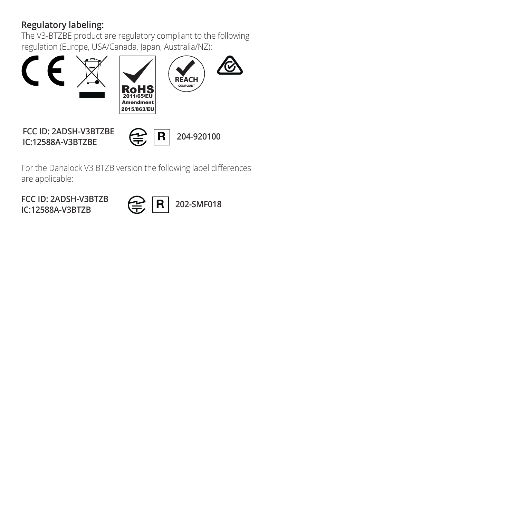**Regulatory labeling:** The V3-BTZBE product are regulatory compliant to the following regulation (Europe, USA/Canada, Japan, Australia/NZ):



**FCC ID: 2ADSH-V3BTZBE IC:12588A-V3BTZBE 204-920100**

For the Danalock V3 BTZB version the following label differences are applicable:

**IC:12588A-V3BTZB**

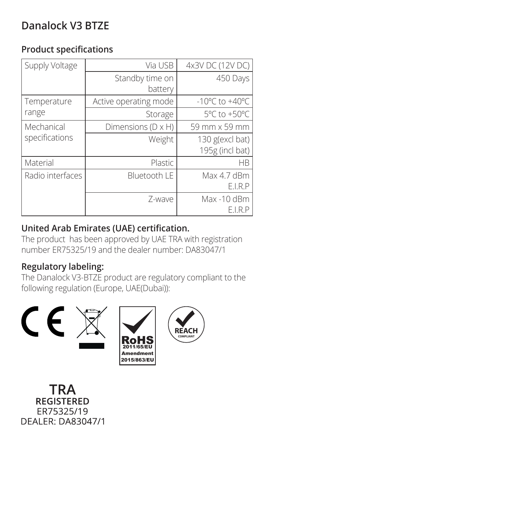## **Danalock V3 BTZE**

### **Product specifications**

| Supply Voltage   | Via USB                    | 4x3V DC (12V DC)                   |
|------------------|----------------------------|------------------------------------|
|                  | Standby time on<br>battery | 450 Days                           |
| Temperature      | Active operating mode      | $-10^{\circ}$ C to $+40^{\circ}$ C |
| range            | Storage                    | 5°C to +50°C                       |
| Mechanical       | Dimensions (D x H)         | 59 mm x 59 mm                      |
| specifications   | Weight                     | 130 g(excl bat)<br>195g (incl bat) |
| Material         | Plastic                    | <b>HR</b>                          |
| Radio interfaces | Bluetooth LE               | Max 4.7 dBm<br>E.I.R.P             |
|                  | 7-wave                     | Max -10 dBm<br>E.I.R.P             |

### **United Arab Emirates (UAE) certification.**

The product has been approved by UAE TRA with registration number ER75325/19 and the dealer number: DA83047/1

### **Regulatory labeling:**

The Danalock V3-BTZE product are regulatory compliant to the following regulation (Europe, UAE(Dubai)):



**TRA** REGISTERED FR75325/19 DEALER: DA83047/1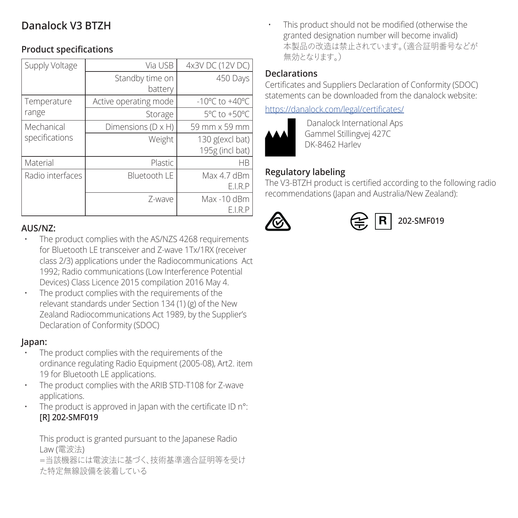### **Danalock V3 BTZH**

### **Product specifications**

| Supply Voltage   | Via USB                    | 4x3V DC (12V DC)                   |
|------------------|----------------------------|------------------------------------|
|                  | Standby time on<br>battery | 450 Days                           |
| Temperature      | Active operating mode      | $-10^{\circ}$ C to $+40^{\circ}$ C |
| range            | Storage                    | 5°C to +50°C                       |
| Mechanical       | Dimensions (D x H)         | 59 mm x 59 mm                      |
| specifications   | Weight                     | 130 g(excl bat)<br>195g (incl bat) |
| Material         | Plastic                    | HR                                 |
| Radio interfaces | Bluetooth LE               | Max 4.7 dBm<br>E.I.R.P             |
|                  | 7-wave                     | Max -10 dBm<br>E.I.R.P             |

### **AUS/NZ:**

- The product complies with the AS/NZS 4268 requirements for Bluetooth LE transceiver and Z-wave 1Tx/1RX (receiver class 2/3) applications under the Radiocommunications Act 1992; Radio communications (Low Interference Potential Devices) Class Licence 2015 compilation 2016 May 4.
- The product complies with the requirements of the relevant standards under Section 134 (1) (g) of the New Zealand Radiocommunications Act 1989, by the Supplier's Declaration of Conformity (SDOC)

#### **Japan:**

- The product complies with the requirements of the ordinance regulating Radio Equipment (2005-08), Art2. item 19 for Bluetooth LE applications.
- The product complies with the ARIB STD-T108 for Z-wave applications.
- The product is approved in Japan with the certificate ID n°: **[R] 202-SMF019**

This product is granted pursuant to the Japanese Radio Law (電波法)

=当該機器には電波法に基づく、技術基準適合証明等を受け た特定無線設備を装着している

• This product should not be modified (otherwise the granted designation number will become invalid) 本製品の改造は禁止されています。(適合証明番号などが 無効となります )

### **Declarations**

Certificates and Suppliers Declaration of Conformity (SDOC) statements can be downloaded from the danalock website:

#### https://danalock.com/legal/certificates/



 Danalock International Aps Gammel Stillingvej 427C DK-8462 Harlev

### **Regulatory labeling**

The V3-BTZH product is certified according to the following radio recommendations (Japan and Australia/New Zealand):



 $\overline{R}$  202-SME019